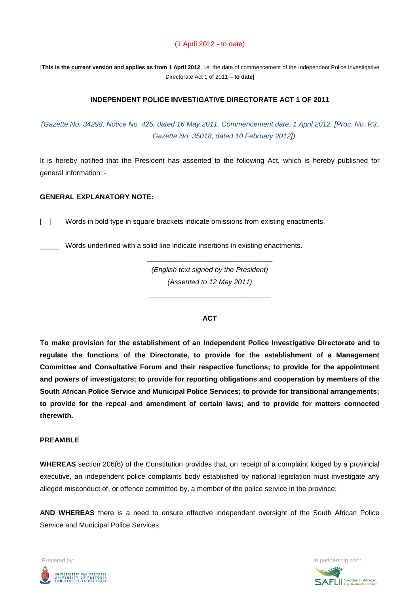### (1 April 2012 - to date)

[**This is the current version and applies as from 1 April 2012**, i.e. the date of commencement of the Independent Police Investigative Directorate Act 1 of 2011 – **to date**]

#### **INDEPENDENT POLICE INVESTIGATIVE DIRECTORATE ACT 1 OF 2011**

*(Gazette No. 34298, Notice No. 425, dated 16 May 2011. Commencement date: 1 April 2012. [Proc. No. R3, Gazette No. 35018, dated 10 February 2012]).*

It is hereby notified that the President has assented to the following Act, which is hereby published for general information: -

#### **GENERAL EXPLANATORY NOTE:**

[ ] Words in bold type in square brackets indicate omissions from existing enactments.

\_\_\_\_\_ Words underlined with a solid line indicate insertions in existing enactments.

*(English text signed by the President) (Assented to 12 May 2011)*

*\_\_\_\_\_\_\_\_\_\_\_\_\_\_\_\_\_\_\_\_\_\_\_\_\_\_\_\_\_\_\_*

\_\_\_\_\_\_\_\_\_\_\_\_\_\_\_\_\_\_\_\_\_\_\_\_\_\_\_\_\_\_\_\_

#### **ACT**

**To make provision for the establishment of an Independent Police Investigative Directorate and to regulate the functions of the Directorate, to provide for the establishment of a Management Committee and Consultative Forum and their respective functions; to provide for the appointment and powers of investigators; to provide for reporting obligations and cooperation by members of the South African Police Service and Municipal Police Services; to provide for transitional arrangements; to provide for the repeal and amendment of certain laws; and to provide for matters connected therewith.**

#### **PREAMBLE**

**WHEREAS** section 206(6) of the Constitution provides that, on receipt of a complaint lodged by a provincial executive, an independent police complaints body established by national legislation must investigate any alleged misconduct of, or offence committed by, a member of the police service in the province;

**AND WHEREAS** there is a need to ensure effective independent oversight of the South African Police Service and Municipal Police Services;



**SAFLII** Southern African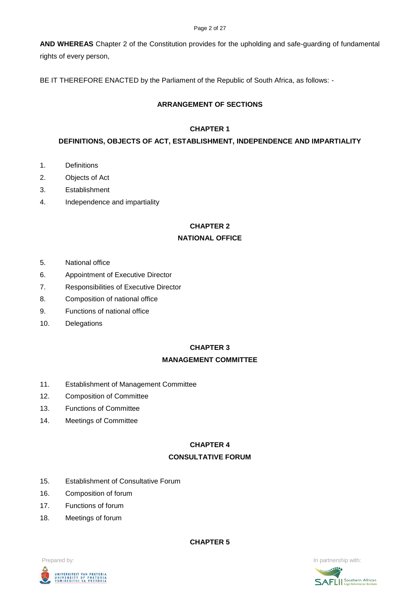#### Page 2 of 27

**AND WHEREAS** Chapter 2 of the Constitution provides for the upholding and safe-guarding of fundamental rights of every person,

BE IT THEREFORE ENACTED by the Parliament of the Republic of South Africa, as follows: -

## **ARRANGEMENT OF SECTIONS**

### **CHAPTER 1**

### **DEFINITIONS, OBJECTS OF ACT, ESTABLISHMENT, INDEPENDENCE AND IMPARTIALITY**

- 1. Definitions
- 2. Objects of Act
- 3. Establishment
- 4. Independence and impartiality

## **CHAPTER 2**

### **NATIONAL OFFICE**

- 5. National office
- 6. Appointment of Executive Director
- 7. Responsibilities of Executive Director
- 8. Composition of national office
- 9. Functions of national office
- 10. Delegations

#### **CHAPTER 3**

#### **MANAGEMENT COMMITTEE**

- 11. Establishment of Management Committee
- 12. Composition of Committee
- 13. Functions of Committee
- 14. Meetings of Committee

#### **CHAPTER 4**

#### **CONSULTATIVE FORUM**

- 15. Establishment of Consultative Forum
- 16. Composition of forum
- 17. Functions of forum
- 18. Meetings of forum

**CHAPTER 5**



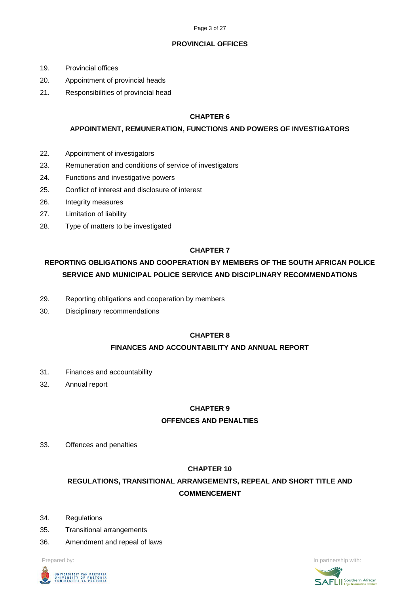### **PROVINCIAL OFFICES**

- 19. Provincial offices
- 20. Appointment of provincial heads
- 21. Responsibilities of provincial head

## **CHAPTER 6**

## **APPOINTMENT, REMUNERATION, FUNCTIONS AND POWERS OF INVESTIGATORS**

- 22. Appointment of investigators
- 23. Remuneration and conditions of service of investigators
- 24. Functions and investigative powers
- 25. Conflict of interest and disclosure of interest
- 26. Integrity measures
- 27. Limitation of liability
- 28. Type of matters to be investigated

## **CHAPTER 7**

# **REPORTING OBLIGATIONS AND COOPERATION BY MEMBERS OF THE SOUTH AFRICAN POLICE SERVICE AND MUNICIPAL POLICE SERVICE AND DISCIPLINARY RECOMMENDATIONS**

- 29. Reporting obligations and cooperation by members
- 30. Disciplinary recommendations

## **CHAPTER 8**

## **FINANCES AND ACCOUNTABILITY AND ANNUAL REPORT**

- 31. Finances and accountability
- 32. Annual report

## **CHAPTER 9**

## **OFFENCES AND PENALTIES**

33. Offences and penalties

## **CHAPTER 10**

# **REGULATIONS, TRANSITIONAL ARRANGEMENTS, REPEAL AND SHORT TITLE AND COMMENCEMENT**

- 34. Regulations
- 35. Transitional arrangements
- 36. Amendment and repeal of laws



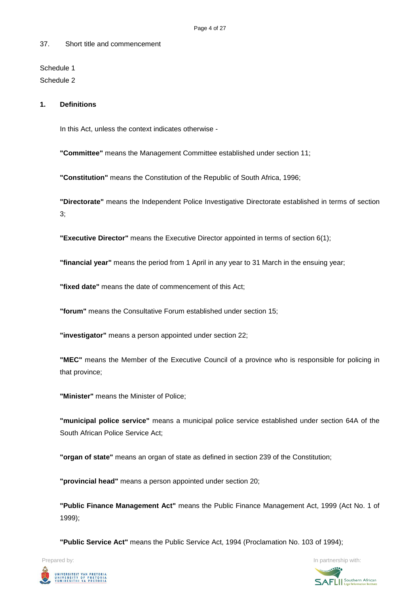#### 37. Short title and commencement

Schedule 1 Schedule 2

#### **1. Definitions**

In this Act, unless the context indicates otherwise -

**"Committee"** means the Management Committee established under section 11;

**"Constitution"** means the Constitution of the Republic of South Africa, 1996;

**"Directorate"** means the Independent Police Investigative Directorate established in terms of section 3;

**"Executive Director"** means the Executive Director appointed in terms of section 6(1);

**"financial year"** means the period from 1 April in any year to 31 March in the ensuing year;

**"fixed date"** means the date of commencement of this Act;

**"forum"** means the Consultative Forum established under section 15;

**"investigator"** means a person appointed under section 22;

**"MEC"** means the Member of the Executive Council of a province who is responsible for policing in that province;

**"Minister"** means the Minister of Police;

**"municipal police service"** means a municipal police service established under section 64A of the South African Police Service Act;

**"organ of state"** means an organ of state as defined in section 239 of the Constitution;

**"provincial head"** means a person appointed under section 20;

**"Public Finance Management Act"** means the Public Finance Management Act, 1999 (Act No. 1 of 1999);

**"Public Service Act"** means the Public Service Act, 1994 (Proclamation No. 103 of 1994);



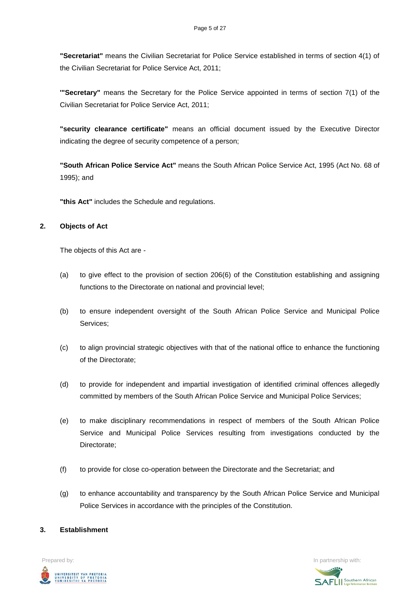**"Secretariat"** means the Civilian Secretariat for Police Service established in terms of section 4(1) of the Civilian Secretariat for Police Service Act, 2011;

**'"Secretary"** means the Secretary for the Police Service appointed in terms of section 7(1) of the Civilian Secretariat for Police Service Act, 2011;

**"security clearance certificate"** means an official document issued by the Executive Director indicating the degree of security competence of a person;

**"South African Police Service Act"** means the South African Police Service Act, 1995 (Act No. 68 of 1995); and

**"this Act"** includes the Schedule and regulations.

### **2. Objects of Act**

The objects of this Act are -

- (a) to give effect to the provision of section 206(6) of the Constitution establishing and assigning functions to the Directorate on national and provincial level;
- (b) to ensure independent oversight of the South African Police Service and Municipal Police Services;
- (c) to align provincial strategic objectives with that of the national office to enhance the functioning of the Directorate;
- (d) to provide for independent and impartial investigation of identified criminal offences allegedly committed by members of the South African Police Service and Municipal Police Services;
- (e) to make disciplinary recommendations in respect of members of the South African Police Service and Municipal Police Services resulting from investigations conducted by the Directorate;
- (f) to provide for close co-operation between the Directorate and the Secretariat; and
- (g) to enhance accountability and transparency by the South African Police Service and Municipal Police Services in accordance with the principles of the Constitution.

## **3. Establishment**



**SAFLI** Southern African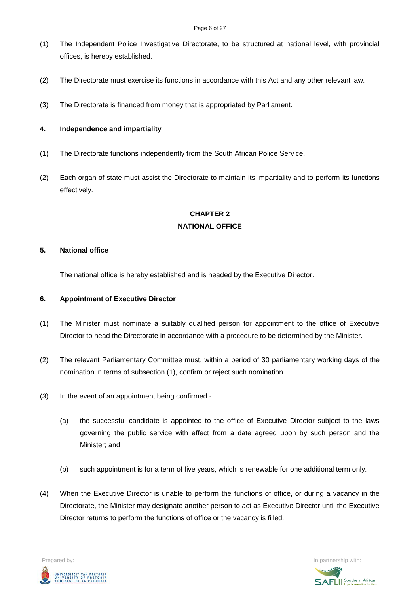- (1) The Independent Police Investigative Directorate, to be structured at national level, with provincial offices, is hereby established.
- (2) The Directorate must exercise its functions in accordance with this Act and any other relevant law.
- (3) The Directorate is financed from money that is appropriated by Parliament.

### **4. Independence and impartiality**

- (1) The Directorate functions independently from the South African Police Service.
- (2) Each organ of state must assist the Directorate to maintain its impartiality and to perform its functions effectively.

## **CHAPTER 2 NATIONAL OFFICE**

#### **5. National office**

The national office is hereby established and is headed by the Executive Director.

#### **6. Appointment of Executive Director**

- (1) The Minister must nominate a suitably qualified person for appointment to the office of Executive Director to head the Directorate in accordance with a procedure to be determined by the Minister.
- (2) The relevant Parliamentary Committee must, within a period of 30 parliamentary working days of the nomination in terms of subsection (1), confirm or reject such nomination.
- (3) In the event of an appointment being confirmed
	- (a) the successful candidate is appointed to the office of Executive Director subject to the laws governing the public service with effect from a date agreed upon by such person and the Minister; and
	- (b) such appointment is for a term of five years, which is renewable for one additional term only.
- (4) When the Executive Director is unable to perform the functions of office, or during a vacancy in the Directorate, the Minister may designate another person to act as Executive Director until the Executive Director returns to perform the functions of office or the vacancy is filled.



**SAFLI** Southern African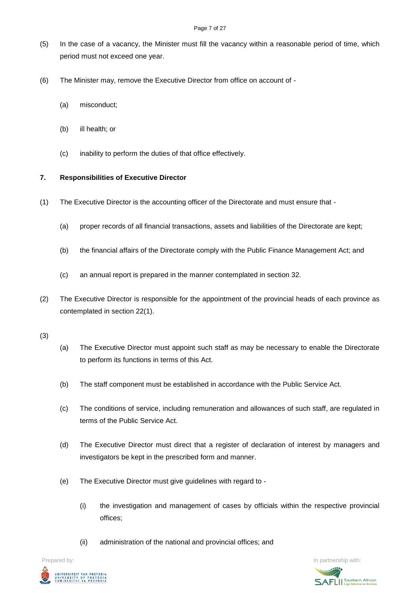- (5) In the case of a vacancy, the Minister must fill the vacancy within a reasonable period of time, which period must not exceed one year.
- (6) The Minister may, remove the Executive Director from office on account of
	- (a) misconduct;
	- (b) ill health; or
	- (c) inability to perform the duties of that office effectively.

## **7. Responsibilities of Executive Director**

- (1) The Executive Director is the accounting officer of the Directorate and must ensure that
	- (a) proper records of all financial transactions, assets and liabilities of the Directorate are kept;
	- (b) the financial affairs of the Directorate comply with the Public Finance Management Act; and
	- (c) an annual report is prepared in the manner contemplated in section 32.
- (2) The Executive Director is responsible for the appointment of the provincial heads of each province as contemplated in section 22(1).
- (3)
- (a) The Executive Director must appoint such staff as may be necessary to enable the Directorate to perform its functions in terms of this Act.
- (b) The staff component must be established in accordance with the Public Service Act.
- (c) The conditions of service, including remuneration and allowances of such staff, are regulated in terms of the Public Service Act.
- (d) The Executive Director must direct that a register of declaration of interest by managers and investigators be kept in the prescribed form and manner.
- (e) The Executive Director must give guidelines with regard to
	- (i) the investigation and management of cases by officials within the respective provincial offices;
	- (ii) administration of the national and provincial offices; and

UNIVERSITEIT VAN PRETORIA<br>UNIVERSITY OF PRETORIA<br>YUNIBESITHI YA PRETORIA

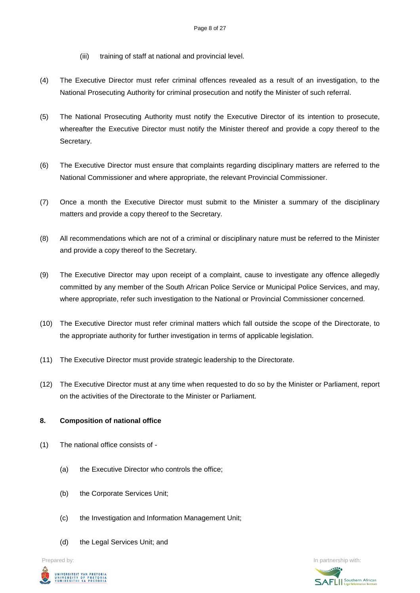- (iii) training of staff at national and provincial level.
- (4) The Executive Director must refer criminal offences revealed as a result of an investigation, to the National Prosecuting Authority for criminal prosecution and notify the Minister of such referral.
- (5) The National Prosecuting Authority must notify the Executive Director of its intention to prosecute, whereafter the Executive Director must notify the Minister thereof and provide a copy thereof to the Secretary.
- (6) The Executive Director must ensure that complaints regarding disciplinary matters are referred to the National Commissioner and where appropriate, the relevant Provincial Commissioner.
- (7) Once a month the Executive Director must submit to the Minister a summary of the disciplinary matters and provide a copy thereof to the Secretary.
- (8) All recommendations which are not of a criminal or disciplinary nature must be referred to the Minister and provide a copy thereof to the Secretary.
- (9) The Executive Director may upon receipt of a complaint, cause to investigate any offence allegedly committed by any member of the South African Police Service or Municipal Police Services, and may, where appropriate, refer such investigation to the National or Provincial Commissioner concerned.
- (10) The Executive Director must refer criminal matters which fall outside the scope of the Directorate, to the appropriate authority for further investigation in terms of applicable legislation.
- (11) The Executive Director must provide strategic leadership to the Directorate.
- (12) The Executive Director must at any time when requested to do so by the Minister or Parliament, report on the activities of the Directorate to the Minister or Parliament.

#### **8. Composition of national office**

- (1) The national office consists of
	- (a) the Executive Director who controls the office;
	- (b) the Corporate Services Unit;
	- (c) the Investigation and Information Management Unit;
	- (d) the Legal Services Unit; and



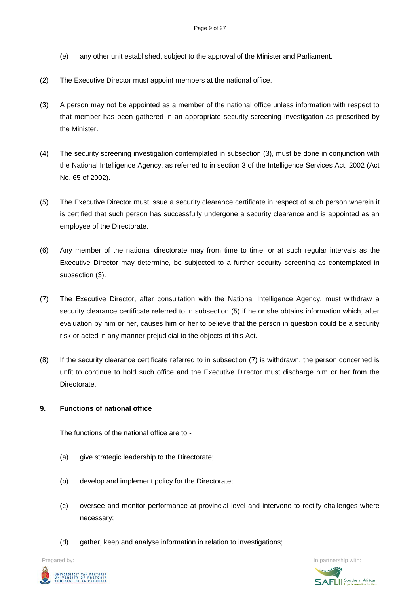- (e) any other unit established, subject to the approval of the Minister and Parliament.
- (2) The Executive Director must appoint members at the national office.
- (3) A person may not be appointed as a member of the national office unless information with respect to that member has been gathered in an appropriate security screening investigation as prescribed by the Minister.
- (4) The security screening investigation contemplated in subsection (3), must be done in conjunction with the National Intelligence Agency, as referred to in section 3 of the Intelligence Services Act, 2002 (Act No. 65 of 2002).
- (5) The Executive Director must issue a security clearance certificate in respect of such person wherein it is certified that such person has successfully undergone a security clearance and is appointed as an employee of the Directorate.
- (6) Any member of the national directorate may from time to time, or at such regular intervals as the Executive Director may determine, be subjected to a further security screening as contemplated in subsection (3).
- (7) The Executive Director, after consultation with the National Intelligence Agency, must withdraw a security clearance certificate referred to in subsection (5) if he or she obtains information which, after evaluation by him or her, causes him or her to believe that the person in question could be a security risk or acted in any manner prejudicial to the objects of this Act.
- (8) If the security clearance certificate referred to in subsection (7) is withdrawn, the person concerned is unfit to continue to hold such office and the Executive Director must discharge him or her from the **Directorate**

#### **9. Functions of national office**

The functions of the national office are to -

- (a) give strategic leadership to the Directorate;
- (b) develop and implement policy for the Directorate;
- (c) oversee and monitor performance at provincial level and intervene to rectify challenges where necessary;
- (d) gather, keep and analyse information in relation to investigations;



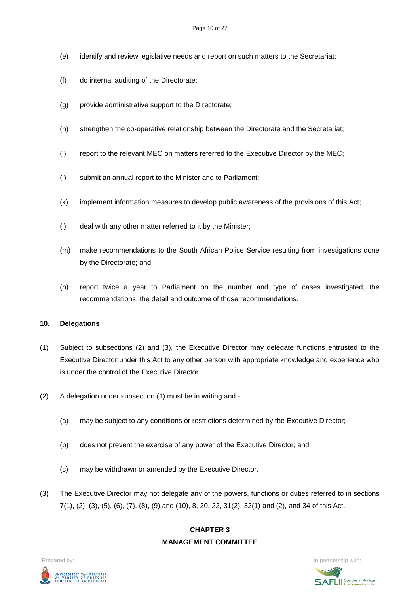- (e) identify and review legislative needs and report on such matters to the Secretariat;
- (f) do internal auditing of the Directorate;
- (g) provide administrative support to the Directorate;
- (h) strengthen the co-operative relationship between the Directorate and the Secretariat;
- (i) report to the relevant MEC on matters referred to the Executive Director by the MEC;
- (j) submit an annual report to the Minister and to Parliament;
- (k) implement information measures to develop public awareness of the provisions of this Act;
- (l) deal with any other matter referred to it by the Minister;
- (m) make recommendations to the South African Police Service resulting from investigations done by the Directorate; and
- (n) report twice a year to Parliament on the number and type of cases investigated, the recommendations, the detail and outcome of those recommendations.

#### **10. Delegations**

- (1) Subject to subsections (2) and (3), the Executive Director may delegate functions entrusted to the Executive Director under this Act to any other person with appropriate knowledge and experience who is under the control of the Executive Director.
- (2) A delegation under subsection (1) must be in writing and
	- (a) may be subject to any conditions or restrictions determined by the Executive Director;
	- (b) does not prevent the exercise of any power of the Executive Director; and
	- (c) may be withdrawn or amended by the Executive Director.
- (3) The Executive Director may not delegate any of the powers, functions or duties referred to in sections 7(1), (2), (3), (5), (6), (7), (8), (9) and (10), 8, 20, 22, 31(2), 32(1) and (2), and 34 of this Act.

## **CHAPTER 3 MANAGEMENT COMMITTEE**



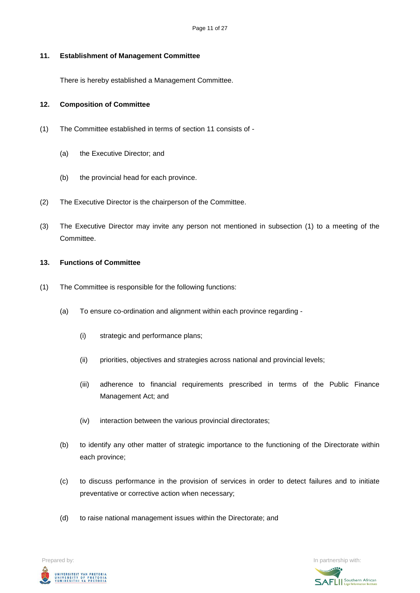#### **11. Establishment of Management Committee**

There is hereby established a Management Committee.

#### **12. Composition of Committee**

- (1) The Committee established in terms of section 11 consists of
	- (a) the Executive Director; and
	- (b) the provincial head for each province.
- (2) The Executive Director is the chairperson of the Committee.
- (3) The Executive Director may invite any person not mentioned in subsection (1) to a meeting of the Committee.

#### **13. Functions of Committee**

- (1) The Committee is responsible for the following functions:
	- (a) To ensure co-ordination and alignment within each province regarding
		- (i) strategic and performance plans;
		- (ii) priorities, objectives and strategies across national and provincial levels;
		- (iii) adherence to financial requirements prescribed in terms of the Public Finance Management Act; and
		- (iv) interaction between the various provincial directorates;
	- (b) to identify any other matter of strategic importance to the functioning of the Directorate within each province;
	- (c) to discuss performance in the provision of services in order to detect failures and to initiate preventative or corrective action when necessary;
	- (d) to raise national management issues within the Directorate; and



**SAFLI** Southern African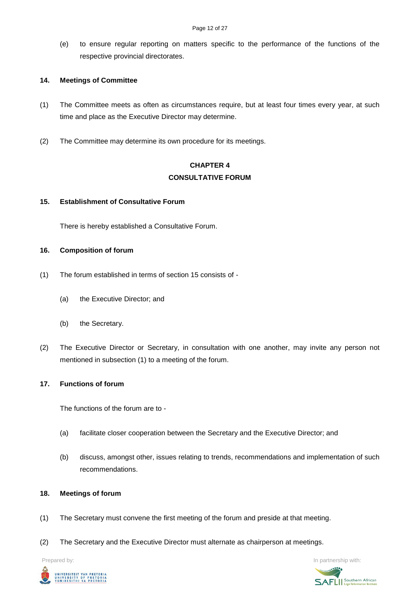(e) to ensure regular reporting on matters specific to the performance of the functions of the respective provincial directorates.

#### **14. Meetings of Committee**

- (1) The Committee meets as often as circumstances require, but at least four times every year, at such time and place as the Executive Director may determine.
- (2) The Committee may determine its own procedure for its meetings.

## **CHAPTER 4 CONSULTATIVE FORUM**

#### **15. Establishment of Consultative Forum**

There is hereby established a Consultative Forum.

#### **16. Composition of forum**

- (1) The forum established in terms of section 15 consists of
	- (a) the Executive Director; and
	- (b) the Secretary.
- (2) The Executive Director or Secretary, in consultation with one another, may invite any person not mentioned in subsection (1) to a meeting of the forum.

#### **17. Functions of forum**

The functions of the forum are to -

- (a) facilitate closer cooperation between the Secretary and the Executive Director; and
- (b) discuss, amongst other, issues relating to trends, recommendations and implementation of such recommendations.

#### **18. Meetings of forum**

- (1) The Secretary must convene the first meeting of the forum and preside at that meeting.
- (2) The Secretary and the Executive Director must alternate as chairperson at meetings.



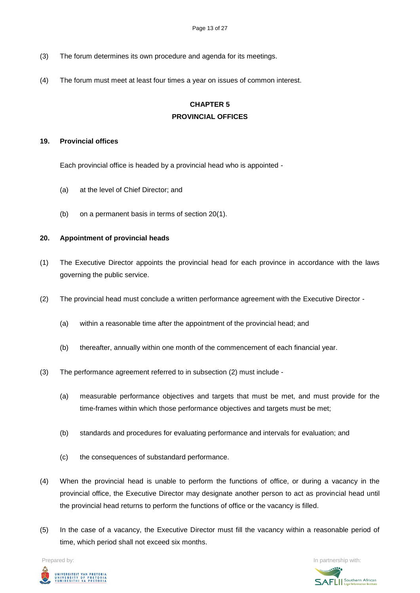- (3) The forum determines its own procedure and agenda for its meetings.
- (4) The forum must meet at least four times a year on issues of common interest.

# **CHAPTER 5 PROVINCIAL OFFICES**

#### **19. Provincial offices**

Each provincial office is headed by a provincial head who is appointed -

- (a) at the level of Chief Director; and
- (b) on a permanent basis in terms of section 20(1).

#### **20. Appointment of provincial heads**

- (1) The Executive Director appoints the provincial head for each province in accordance with the laws governing the public service.
- (2) The provincial head must conclude a written performance agreement with the Executive Director
	- (a) within a reasonable time after the appointment of the provincial head; and
	- (b) thereafter, annually within one month of the commencement of each financial year.
- (3) The performance agreement referred to in subsection (2) must include
	- (a) measurable performance objectives and targets that must be met, and must provide for the time-frames within which those performance objectives and targets must be met;
	- (b) standards and procedures for evaluating performance and intervals for evaluation; and
	- (c) the consequences of substandard performance.
- (4) When the provincial head is unable to perform the functions of office, or during a vacancy in the provincial office, the Executive Director may designate another person to act as provincial head until the provincial head returns to perform the functions of office or the vacancy is filled.
- (5) In the case of a vacancy, the Executive Director must fill the vacancy within a reasonable period of time, which period shall not exceed six months.

UNIVERSITEIT VAN PRETORIA<br>UNIVERSITY OF PRETORIA<br>YUNIBESITHI YA PRETORIA

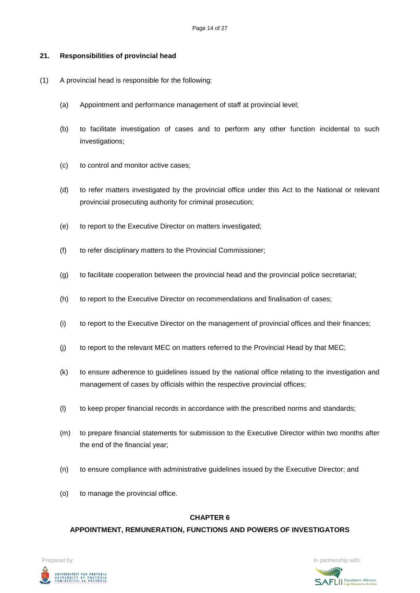#### **21. Responsibilities of provincial head**

- (1) A provincial head is responsible for the following:
	- (a) Appointment and performance management of staff at provincial level;
	- (b) to facilitate investigation of cases and to perform any other function incidental to such investigations;
	- (c) to control and monitor active cases;
	- (d) to refer matters investigated by the provincial office under this Act to the National or relevant provincial prosecuting authority for criminal prosecution;
	- (e) to report to the Executive Director on matters investigated;
	- (f) to refer disciplinary matters to the Provincial Commissioner;
	- (g) to facilitate cooperation between the provincial head and the provincial police secretariat;
	- (h) to report to the Executive Director on recommendations and finalisation of cases;
	- (i) to report to the Executive Director on the management of provincial offices and their finances;
	- (j) to report to the relevant MEC on matters referred to the Provincial Head by that MEC;
	- (k) to ensure adherence to guidelines issued by the national office relating to the investigation and management of cases by officials within the respective provincial offices;
	- (l) to keep proper financial records in accordance with the prescribed norms and standards;
	- (m) to prepare financial statements for submission to the Executive Director within two months after the end of the financial year;
	- (n) to ensure compliance with administrative guidelines issued by the Executive Director; and
	- (o) to manage the provincial office.

#### **CHAPTER 6**

#### **APPOINTMENT, REMUNERATION, FUNCTIONS AND POWERS OF INVESTIGATORS**



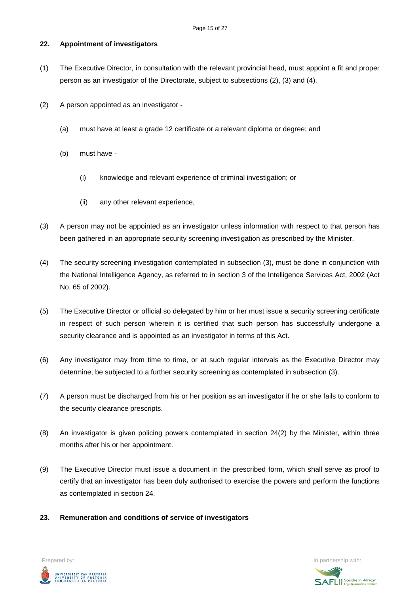### **22. Appointment of investigators**

- (1) The Executive Director, in consultation with the relevant provincial head, must appoint a fit and proper person as an investigator of the Directorate, subject to subsections (2), (3) and (4).
- (2) A person appointed as an investigator
	- (a) must have at least a grade 12 certificate or a relevant diploma or degree; and
	- (b) must have
		- (i) knowledge and relevant experience of criminal investigation; or
		- (ii) any other relevant experience,
- (3) A person may not be appointed as an investigator unless information with respect to that person has been gathered in an appropriate security screening investigation as prescribed by the Minister.
- (4) The security screening investigation contemplated in subsection (3), must be done in conjunction with the National Intelligence Agency, as referred to in section 3 of the Intelligence Services Act, 2002 (Act No. 65 of 2002).
- (5) The Executive Director or official so delegated by him or her must issue a security screening certificate in respect of such person wherein it is certified that such person has successfully undergone a security clearance and is appointed as an investigator in terms of this Act.
- (6) Any investigator may from time to time, or at such regular intervals as the Executive Director may determine, be subjected to a further security screening as contemplated in subsection (3).
- (7) A person must be discharged from his or her position as an investigator if he or she fails to conform to the security clearance prescripts.
- (8) An investigator is given policing powers contemplated in section 24(2) by the Minister, within three months after his or her appointment.
- (9) The Executive Director must issue a document in the prescribed form, which shall serve as proof to certify that an investigator has been duly authorised to exercise the powers and perform the functions as contemplated in section 24.
- **23. Remuneration and conditions of service of investigators**



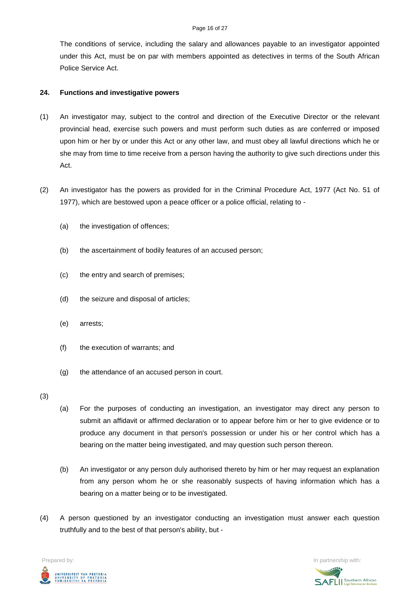The conditions of service, including the salary and allowances payable to an investigator appointed under this Act, must be on par with members appointed as detectives in terms of the South African Police Service Act.

#### **24. Functions and investigative powers**

- (1) An investigator may, subject to the control and direction of the Executive Director or the relevant provincial head, exercise such powers and must perform such duties as are conferred or imposed upon him or her by or under this Act or any other law, and must obey all lawful directions which he or she may from time to time receive from a person having the authority to give such directions under this Act.
- (2) An investigator has the powers as provided for in the Criminal Procedure Act, 1977 (Act No. 51 of 1977), which are bestowed upon a peace officer or a police official, relating to -
	- (a) the investigation of offences;
	- (b) the ascertainment of bodily features of an accused person;
	- (c) the entry and search of premises;
	- (d) the seizure and disposal of articles;
	- (e) arrests;
	- (f) the execution of warrants; and
	- (g) the attendance of an accused person in court.

(3)

- (a) For the purposes of conducting an investigation, an investigator may direct any person to submit an affidavit or affirmed declaration or to appear before him or her to give evidence or to produce any document in that person's possession or under his or her control which has a bearing on the matter being investigated, and may question such person thereon.
- (b) An investigator or any person duly authorised thereto by him or her may request an explanation from any person whom he or she reasonably suspects of having information which has a bearing on a matter being or to be investigated.
- (4) A person questioned by an investigator conducting an investigation must answer each question truthfully and to the best of that person's ability, but -

UNIVERSITEIT VAN PRETORIA<br>UNIVERSITY OF PRETORIA<br>YUNIBESITHI YA PRETORIA

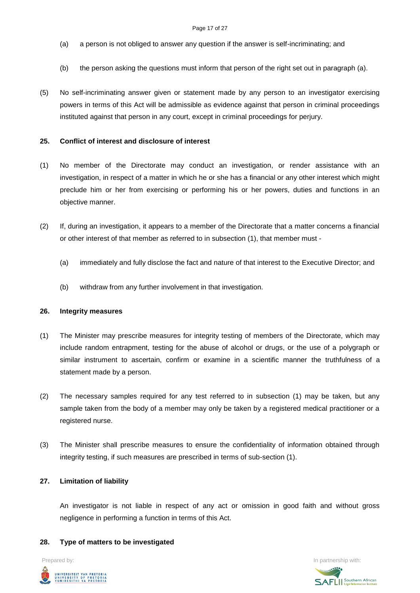- (a) a person is not obliged to answer any question if the answer is self-incriminating; and
- (b) the person asking the questions must inform that person of the right set out in paragraph (a).
- (5) No self-incriminating answer given or statement made by any person to an investigator exercising powers in terms of this Act will be admissible as evidence against that person in criminal proceedings instituted against that person in any court, except in criminal proceedings for perjury.

#### **25. Conflict of interest and disclosure of interest**

- (1) No member of the Directorate may conduct an investigation, or render assistance with an investigation, in respect of a matter in which he or she has a financial or any other interest which might preclude him or her from exercising or performing his or her powers, duties and functions in an objective manner.
- (2) If, during an investigation, it appears to a member of the Directorate that a matter concerns a financial or other interest of that member as referred to in subsection (1), that member must -
	- (a) immediately and fully disclose the fact and nature of that interest to the Executive Director; and
	- (b) withdraw from any further involvement in that investigation.

#### **26. Integrity measures**

- (1) The Minister may prescribe measures for integrity testing of members of the Directorate, which may include random entrapment, testing for the abuse of alcohol or drugs, or the use of a polygraph or similar instrument to ascertain, confirm or examine in a scientific manner the truthfulness of a statement made by a person.
- (2) The necessary samples required for any test referred to in subsection (1) may be taken, but any sample taken from the body of a member may only be taken by a registered medical practitioner or a registered nurse.
- (3) The Minister shall prescribe measures to ensure the confidentiality of information obtained through integrity testing, if such measures are prescribed in terms of sub-section (1).

#### **27. Limitation of liability**

An investigator is not liable in respect of any act or omission in good faith and without gross negligence in performing a function in terms of this Act.

#### **28. Type of matters to be investigated**

UNIVERSITEIT VAN PRETORIA<br>UNIVERSITY OF PRETORIA<br>YUNIBESITHI YA PRETORIA

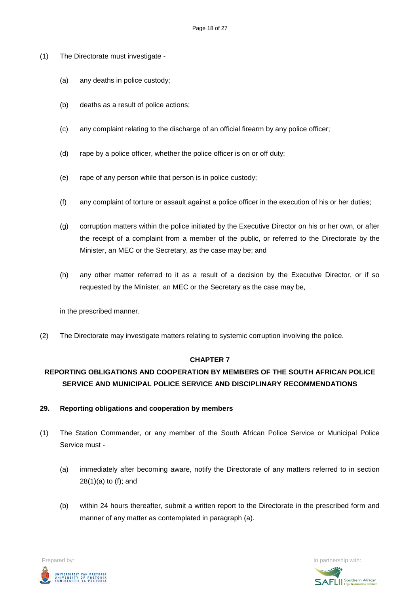- (1) The Directorate must investigate
	- (a) any deaths in police custody;
	- (b) deaths as a result of police actions;
	- (c) any complaint relating to the discharge of an official firearm by any police officer;
	- (d) rape by a police officer, whether the police officer is on or off duty;
	- (e) rape of any person while that person is in police custody;
	- (f) any complaint of torture or assault against a police officer in the execution of his or her duties;
	- (g) corruption matters within the police initiated by the Executive Director on his or her own, or after the receipt of a complaint from a member of the public, or referred to the Directorate by the Minister, an MEC or the Secretary, as the case may be; and
	- (h) any other matter referred to it as a result of a decision by the Executive Director, or if so requested by the Minister, an MEC or the Secretary as the case may be,

in the prescribed manner.

(2) The Directorate may investigate matters relating to systemic corruption involving the police.

#### **CHAPTER 7**

# **REPORTING OBLIGATIONS AND COOPERATION BY MEMBERS OF THE SOUTH AFRICAN POLICE SERVICE AND MUNICIPAL POLICE SERVICE AND DISCIPLINARY RECOMMENDATIONS**

- **29. Reporting obligations and cooperation by members**
- (1) The Station Commander, or any member of the South African Police Service or Municipal Police Service must -
	- (a) immediately after becoming aware, notify the Directorate of any matters referred to in section 28(1)(a) to (f); and
	- (b) within 24 hours thereafter, submit a written report to the Directorate in the prescribed form and manner of any matter as contemplated in paragraph (a).



**SAFLI** Southern African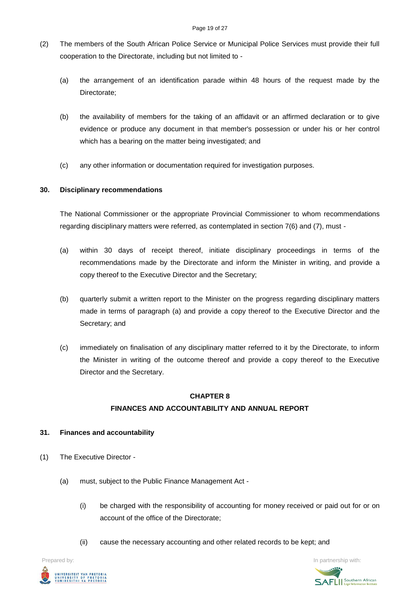- (2) The members of the South African Police Service or Municipal Police Services must provide their full cooperation to the Directorate, including but not limited to -
	- (a) the arrangement of an identification parade within 48 hours of the request made by the Directorate;
	- (b) the availability of members for the taking of an affidavit or an affirmed declaration or to give evidence or produce any document in that member's possession or under his or her control which has a bearing on the matter being investigated; and
	- (c) any other information or documentation required for investigation purposes.

### **30. Disciplinary recommendations**

The National Commissioner or the appropriate Provincial Commissioner to whom recommendations regarding disciplinary matters were referred, as contemplated in section 7(6) and (7), must -

- (a) within 30 days of receipt thereof, initiate disciplinary proceedings in terms of the recommendations made by the Directorate and inform the Minister in writing, and provide a copy thereof to the Executive Director and the Secretary;
- (b) quarterly submit a written report to the Minister on the progress regarding disciplinary matters made in terms of paragraph (a) and provide a copy thereof to the Executive Director and the Secretary; and
- (c) immediately on finalisation of any disciplinary matter referred to it by the Directorate, to inform the Minister in writing of the outcome thereof and provide a copy thereof to the Executive Director and the Secretary.

## **CHAPTER 8 FINANCES AND ACCOUNTABILITY AND ANNUAL REPORT**

#### **31. Finances and accountability**

- (1) The Executive Director
	- (a) must, subject to the Public Finance Management Act
		- (i) be charged with the responsibility of accounting for money received or paid out for or on account of the office of the Directorate;
		- (ii) cause the necessary accounting and other related records to be kept; and



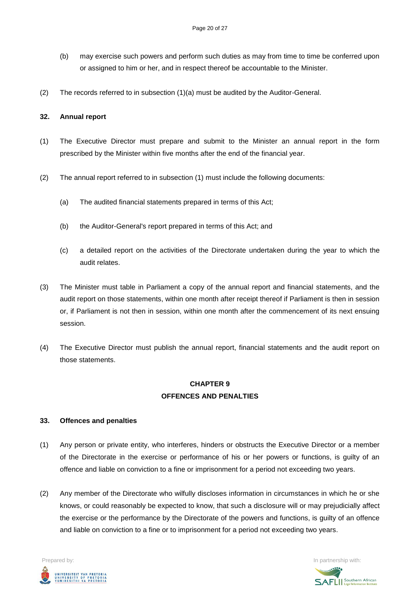- (b) may exercise such powers and perform such duties as may from time to time be conferred upon or assigned to him or her, and in respect thereof be accountable to the Minister.
- (2) The records referred to in subsection (1)(a) must be audited by the Auditor-General.

#### **32. Annual report**

- (1) The Executive Director must prepare and submit to the Minister an annual report in the form prescribed by the Minister within five months after the end of the financial year.
- (2) The annual report referred to in subsection (1) must include the following documents:
	- (a) The audited financial statements prepared in terms of this Act;
	- (b) the Auditor-General's report prepared in terms of this Act; and
	- (c) a detailed report on the activities of the Directorate undertaken during the year to which the audit relates.
- (3) The Minister must table in Parliament a copy of the annual report and financial statements, and the audit report on those statements, within one month after receipt thereof if Parliament is then in session or, if Parliament is not then in session, within one month after the commencement of its next ensuing session.
- (4) The Executive Director must publish the annual report, financial statements and the audit report on those statements.

## **CHAPTER 9 OFFENCES AND PENALTIES**

#### **33. Offences and penalties**

- (1) Any person or private entity, who interferes, hinders or obstructs the Executive Director or a member of the Directorate in the exercise or performance of his or her powers or functions, is guilty of an offence and liable on conviction to a fine or imprisonment for a period not exceeding two years.
- (2) Any member of the Directorate who wilfully discloses information in circumstances in which he or she knows, or could reasonably be expected to know, that such a disclosure will or may prejudicially affect the exercise or the performance by the Directorate of the powers and functions, is guilty of an offence and liable on conviction to a fine or to imprisonment for a period not exceeding two years.



**SAFLII** Southern African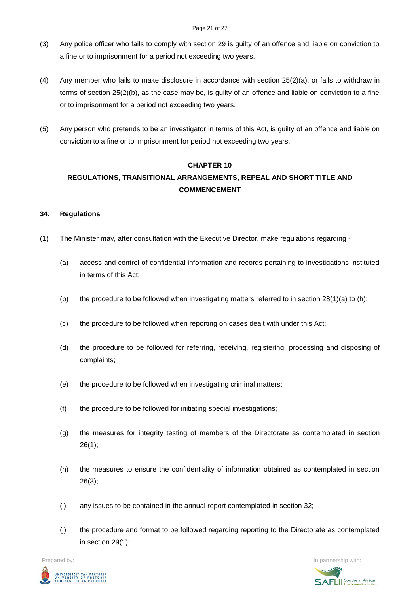#### Page 21 of 27

- (3) Any police officer who fails to comply with section 29 is guilty of an offence and liable on conviction to a fine or to imprisonment for a period not exceeding two years.
- (4) Any member who fails to make disclosure in accordance with section 25(2)(a), or fails to withdraw in terms of section 25(2)(b), as the case may be, is guilty of an offence and liable on conviction to a fine or to imprisonment for a period not exceeding two years.
- (5) Any person who pretends to be an investigator in terms of this Act, is guilty of an offence and liable on conviction to a fine or to imprisonment for period not exceeding two years.

### **CHAPTER 10**

# **REGULATIONS, TRANSITIONAL ARRANGEMENTS, REPEAL AND SHORT TITLE AND COMMENCEMENT**

### **34. Regulations**

- (1) The Minister may, after consultation with the Executive Director, make regulations regarding
	- (a) access and control of confidential information and records pertaining to investigations instituted in terms of this Act;
	- (b) the procedure to be followed when investigating matters referred to in section  $28(1)(a)$  to (h);
	- (c) the procedure to be followed when reporting on cases dealt with under this Act;
	- (d) the procedure to be followed for referring, receiving, registering, processing and disposing of complaints;
	- (e) the procedure to be followed when investigating criminal matters;
	- (f) the procedure to be followed for initiating special investigations;
	- (g) the measures for integrity testing of members of the Directorate as contemplated in section  $26(1)$ ;
	- (h) the measures to ensure the confidentiality of information obtained as contemplated in section 26(3);
	- (i) any issues to be contained in the annual report contemplated in section 32;
	- (j) the procedure and format to be followed regarding reporting to the Directorate as contemplated in section 29(1);

Prepared by: **In partnership with:**  $\blacksquare$  **In partnership with:**  $\blacksquare$  **In partnership with:**  $\blacksquare$ UNIVERSITEIT VAN PRETORIA<br>UNIVERSITY OF PRETORIA<br>YUNIBESITHI YA PRETORIA

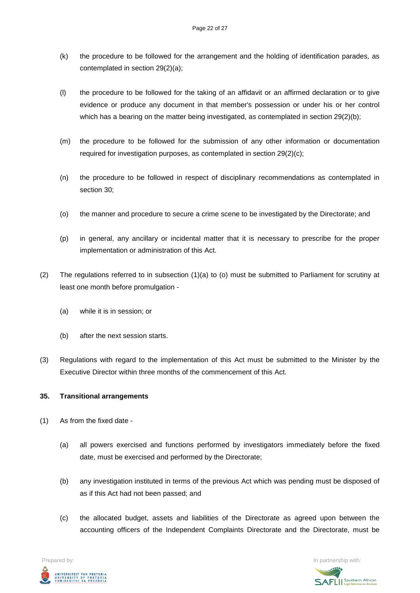- (k) the procedure to be followed for the arrangement and the holding of identification parades, as contemplated in section 29(2)(a);
- (l) the procedure to be followed for the taking of an affidavit or an affirmed declaration or to give evidence or produce any document in that member's possession or under his or her control which has a bearing on the matter being investigated, as contemplated in section 29(2)(b);
- (m) the procedure to be followed for the submission of any other information or documentation required for investigation purposes, as contemplated in section 29(2)(c);
- (n) the procedure to be followed in respect of disciplinary recommendations as contemplated in section 30;
- (o) the manner and procedure to secure a crime scene to be investigated by the Directorate; and
- (p) in general, any ancillary or incidental matter that it is necessary to prescribe for the proper implementation or administration of this Act.
- (2) The regulations referred to in subsection (1)(a) to (o) must be submitted to Parliament for scrutiny at least one month before promulgation -
	- (a) while it is in session; or
	- (b) after the next session starts.
- (3) Regulations with regard to the implementation of this Act must be submitted to the Minister by the Executive Director within three months of the commencement of this Act.

#### **35. Transitional arrangements**

- (1) As from the fixed date
	- (a) all powers exercised and functions performed by investigators immediately before the fixed date, must be exercised and performed by the Directorate;
	- (b) any investigation instituted in terms of the previous Act which was pending must be disposed of as if this Act had not been passed; and
	- (c) the allocated budget, assets and liabilities of the Directorate as agreed upon between the accounting officers of the Independent Complaints Directorate and the Directorate, must be



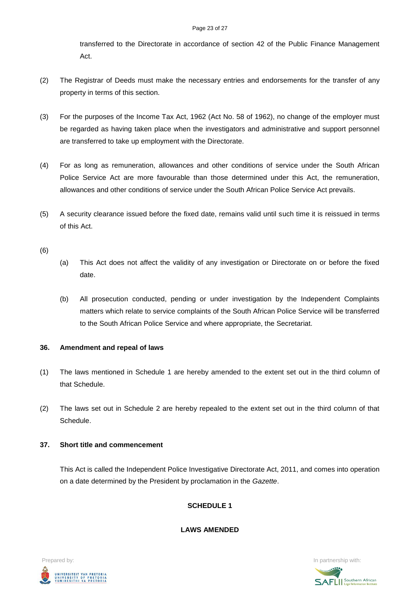transferred to the Directorate in accordance of section 42 of the Public Finance Management Act.

- (2) The Registrar of Deeds must make the necessary entries and endorsements for the transfer of any property in terms of this section.
- (3) For the purposes of the Income Tax Act, 1962 (Act No. 58 of 1962), no change of the employer must be regarded as having taken place when the investigators and administrative and support personnel are transferred to take up employment with the Directorate.
- (4) For as long as remuneration, allowances and other conditions of service under the South African Police Service Act are more favourable than those determined under this Act, the remuneration, allowances and other conditions of service under the South African Police Service Act prevails.
- (5) A security clearance issued before the fixed date, remains valid until such time it is reissued in terms of this Act.
- (6)
- (a) This Act does not affect the validity of any investigation or Directorate on or before the fixed date.
- (b) All prosecution conducted, pending or under investigation by the Independent Complaints matters which relate to service complaints of the South African Police Service will be transferred to the South African Police Service and where appropriate, the Secretariat.

#### **36. Amendment and repeal of laws**

- (1) The laws mentioned in Schedule 1 are hereby amended to the extent set out in the third column of that Schedule.
- (2) The laws set out in Schedule 2 are hereby repealed to the extent set out in the third column of that Schedule.
- **37. Short title and commencement**

This Act is called the Independent Police Investigative Directorate Act, 2011, and comes into operation on a date determined by the President by proclamation in the *Gazette*.

## **SCHEDULE 1**

**LAWS AMENDED**



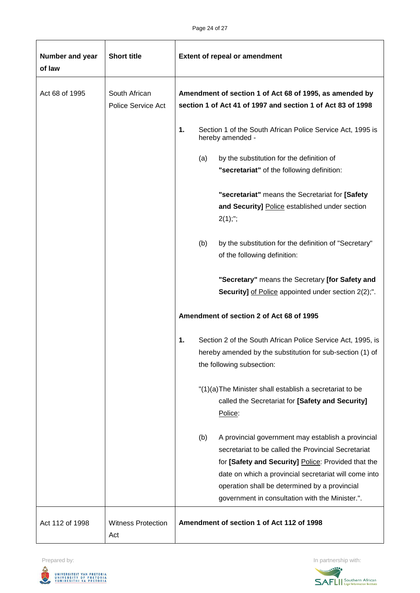| Number and year<br>of law | <b>Short title</b>                  | <b>Extent of repeal or amendment</b>                                                                                                                                                                                                                                                                                                 |  |
|---------------------------|-------------------------------------|--------------------------------------------------------------------------------------------------------------------------------------------------------------------------------------------------------------------------------------------------------------------------------------------------------------------------------------|--|
| Act 68 of 1995            | South African<br>Police Service Act | Amendment of section 1 of Act 68 of 1995, as amended by<br>section 1 of Act 41 of 1997 and section 1 of Act 83 of 1998                                                                                                                                                                                                               |  |
|                           |                                     | 1.<br>Section 1 of the South African Police Service Act, 1995 is<br>hereby amended -                                                                                                                                                                                                                                                 |  |
|                           |                                     | (a)<br>by the substitution for the definition of<br>"secretariat" of the following definition:                                                                                                                                                                                                                                       |  |
|                           |                                     | "secretariat" means the Secretariat for [Safety<br>and Security] Police established under section<br>$2(1);$ ";                                                                                                                                                                                                                      |  |
|                           |                                     | by the substitution for the definition of "Secretary"<br>(b)<br>of the following definition:                                                                                                                                                                                                                                         |  |
|                           |                                     | "Secretary" means the Secretary [for Safety and<br><b>Security]</b> of Police appointed under section 2(2);".                                                                                                                                                                                                                        |  |
|                           |                                     | Amendment of section 2 of Act 68 of 1995                                                                                                                                                                                                                                                                                             |  |
|                           |                                     | 1.<br>Section 2 of the South African Police Service Act, 1995, is<br>hereby amended by the substitution for sub-section (1) of<br>the following subsection:                                                                                                                                                                          |  |
|                           |                                     | "(1)(a) The Minister shall establish a secretariat to be<br>called the Secretariat for [Safety and Security]<br>Police:                                                                                                                                                                                                              |  |
|                           |                                     | (b)<br>A provincial government may establish a provincial<br>secretariat to be called the Provincial Secretariat<br>for [Safety and Security] Police: Provided that the<br>date on which a provincial secretariat will come into<br>operation shall be determined by a provincial<br>government in consultation with the Minister.". |  |
| Act 112 of 1998           | <b>Witness Protection</b><br>Act    | Amendment of section 1 of Act 112 of 1998                                                                                                                                                                                                                                                                                            |  |



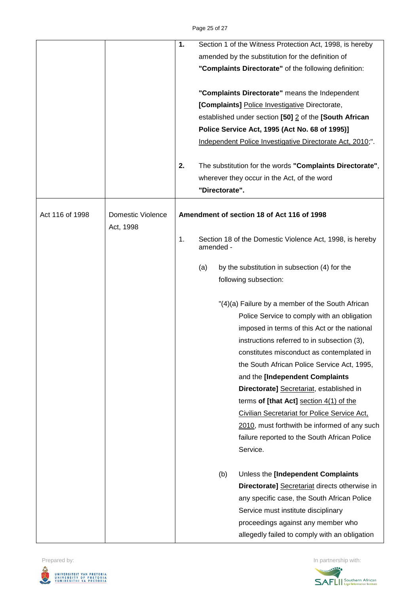|                 |                                | 1.                                         |                | Section 1 of the Witness Protection Act, 1998, is hereby  |
|-----------------|--------------------------------|--------------------------------------------|----------------|-----------------------------------------------------------|
|                 |                                |                                            |                | amended by the substitution for the definition of         |
|                 |                                |                                            |                | "Complaints Directorate" of the following definition:     |
|                 |                                |                                            |                | "Complaints Directorate" means the Independent            |
|                 |                                |                                            |                | [Complaints] Police Investigative Directorate,            |
|                 |                                |                                            |                | established under section [50] 2 of the [South African    |
|                 |                                |                                            |                | Police Service Act, 1995 (Act No. 68 of 1995)]            |
|                 |                                |                                            |                | Independent Police Investigative Directorate Act, 2010;". |
|                 |                                | 2.                                         |                | The substitution for the words "Complaints Directorate",  |
|                 |                                |                                            |                | wherever they occur in the Act, of the word               |
|                 |                                |                                            | "Directorate". |                                                           |
| Act 116 of 1998 | Domestic Violence<br>Act, 1998 | Amendment of section 18 of Act 116 of 1998 |                |                                                           |
|                 |                                | 1.                                         | amended -      | Section 18 of the Domestic Violence Act, 1998, is hereby  |
|                 |                                |                                            | (a)            | by the substitution in subsection (4) for the             |
|                 |                                |                                            |                | following subsection:                                     |
|                 |                                |                                            |                |                                                           |
|                 |                                |                                            |                | "(4)(a) Failure by a member of the South African          |
|                 |                                |                                            |                | Police Service to comply with an obligation               |
|                 |                                |                                            |                | imposed in terms of this Act or the national              |
|                 |                                |                                            |                | instructions referred to in subsection (3),               |
|                 |                                |                                            |                | constitutes misconduct as contemplated in                 |
|                 |                                |                                            |                | the South African Police Service Act, 1995,               |
|                 |                                |                                            |                | and the [Independent Complaints                           |
|                 |                                |                                            |                | Directorate] Secretariat, established in                  |
|                 |                                |                                            |                | terms of [that Act] section $4(1)$ of the                 |
|                 |                                |                                            |                | Civilian Secretariat for Police Service Act,              |
|                 |                                |                                            |                | 2010, must forthwith be informed of any such              |
|                 |                                |                                            |                | failure reported to the South African Police              |
|                 |                                |                                            |                | Service.                                                  |
|                 |                                |                                            | (b)            | Unless the [Independent Complaints                        |
|                 |                                |                                            |                | Directorate] Secretariat directs otherwise in             |
|                 |                                |                                            |                | any specific case, the South African Police               |
|                 |                                |                                            |                | Service must institute disciplinary                       |
|                 |                                |                                            |                | proceedings against any member who                        |
|                 |                                |                                            |                | allegedly failed to comply with an obligation             |

Prepared by: In partnership with: UNIVERSITEIT VAN PRETORIA<br>UNIVERSITY OF PRETORIA<br>YUNIBESITHI YA PRETORIA J,

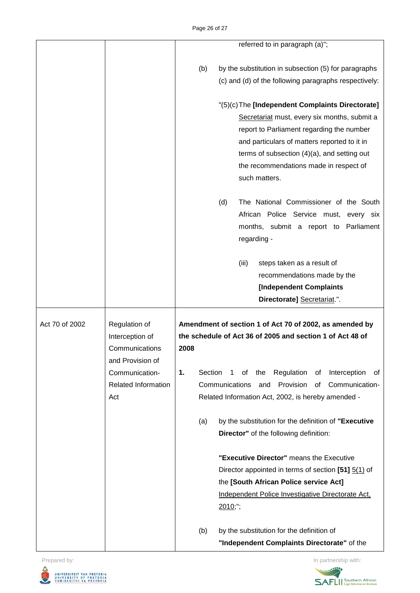|                |                     |      | referred to in paragraph (a)";                                      |
|----------------|---------------------|------|---------------------------------------------------------------------|
|                |                     |      |                                                                     |
|                |                     | (b)  | by the substitution in subsection (5) for paragraphs                |
|                |                     |      | (c) and (d) of the following paragraphs respectively:               |
|                |                     |      | "(5)(c) The [Independent Complaints Directorate]                    |
|                |                     |      | Secretariat must, every six months, submit a                        |
|                |                     |      | report to Parliament regarding the number                           |
|                |                     |      | and particulars of matters reported to it in                        |
|                |                     |      | terms of subsection (4)(a), and setting out                         |
|                |                     |      | the recommendations made in respect of                              |
|                |                     |      | such matters.                                                       |
|                |                     |      | (d)<br>The National Commissioner of the South                       |
|                |                     |      | African Police Service must,<br>every six                           |
|                |                     |      | months, submit a report to Parliament                               |
|                |                     |      | regarding -                                                         |
|                |                     |      | (iii)<br>steps taken as a result of                                 |
|                |                     |      | recommendations made by the                                         |
|                |                     |      | <b>[Independent Complaints</b>                                      |
|                |                     |      | Directorate] Secretariat.".                                         |
| Act 70 of 2002 | Regulation of       |      | Amendment of section 1 of Act 70 of 2002, as amended by             |
|                | Interception of     |      | the schedule of Act 36 of 2005 and section 1 of Act 48 of           |
|                | Communications      | 2008 |                                                                     |
|                | and Provision of    |      |                                                                     |
|                | Communication-      | 1.   | Section<br>of<br>the<br>Regulation<br>Interception<br>1<br>οf<br>0t |
|                | Related Information |      | Communications<br>Provision<br>Communication-<br>and<br>0f          |
|                | Act                 |      | Related Information Act, 2002, is hereby amended -                  |
|                |                     | (a)  | by the substitution for the definition of "Executive                |
|                |                     |      | Director" of the following definition:                              |
|                |                     |      | "Executive Director" means the Executive                            |
|                |                     |      | Director appointed in terms of section [51] 5(1) of                 |
|                |                     |      |                                                                     |
|                |                     |      | the [South African Police service Act]                              |
|                |                     |      | Independent Police Investigative Directorate Act,                   |
|                |                     |      | 2010;";                                                             |
|                |                     | (b)  | by the substitution for the definition of                           |

Prepared by: In partnership with: UNIVERSITEIT VAN PRETORIA<br>UNIVERSITY OF PRETORIA<br>YUNIBESITHI YA PRETORIA U,